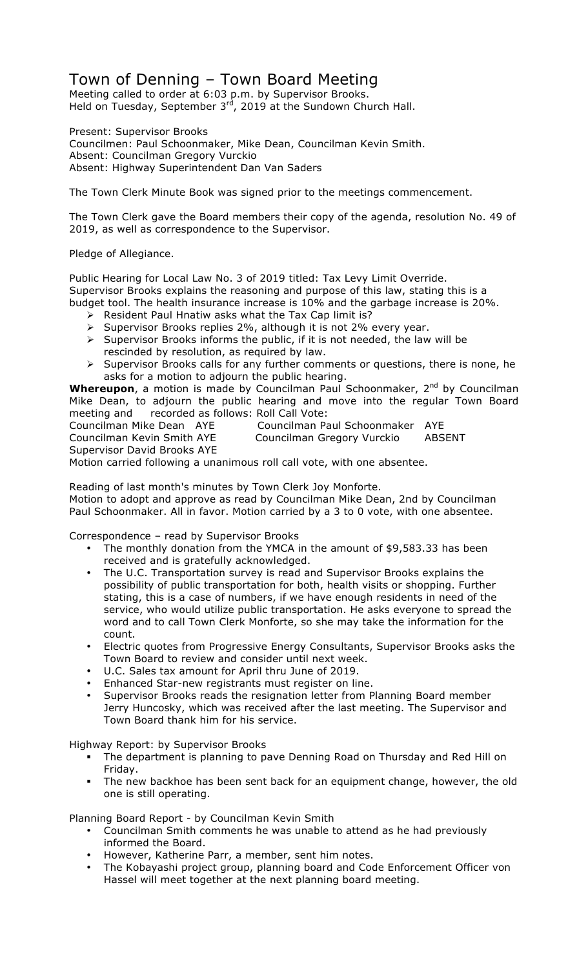## Town of Denning – Town Board Meeting

Meeting called to order at 6:03 p.m. by Supervisor Brooks. Held on Tuesday, September 3rd, 2019 at the Sundown Church Hall.

Present: Supervisor Brooks Councilmen: Paul Schoonmaker, Mike Dean, Councilman Kevin Smith. Absent: Councilman Gregory Vurckio Absent: Highway Superintendent Dan Van Saders

The Town Clerk Minute Book was signed prior to the meetings commencement.

The Town Clerk gave the Board members their copy of the agenda, resolution No. 49 of 2019, as well as correspondence to the Supervisor.

Pledge of Allegiance.

Public Hearing for Local Law No. 3 of 2019 titled: Tax Levy Limit Override. Supervisor Brooks explains the reasoning and purpose of this law, stating this is a budget tool. The health insurance increase is 10% and the garbage increase is 20%.

- $\triangleright$  Resident Paul Hnatiw asks what the Tax Cap limit is?
- > Supervisor Brooks replies 2%, although it is not 2% every year.
- $\triangleright$  Supervisor Brooks informs the public, if it is not needed, the law will be rescinded by resolution, as required by law.
- $\triangleright$  Supervisor Brooks calls for any further comments or questions, there is none, he asks for a motion to adjourn the public hearing.

Whereupon, a motion is made by Councilman Paul Schoonmaker, 2<sup>nd</sup> by Councilman Mike Dean, to adjourn the public hearing and move into the regular Town Board meeting and recorded as follows: Roll Call Vote:

Supervisor David Brooks AYE

Councilman Mike Dean AYE Councilman Paul Schoonmaker AYE

Councilman Kevin Smith AYE Councilman Gregory Vurckio ABSENT

Motion carried following a unanimous roll call vote, with one absentee.

Reading of last month's minutes by Town Clerk Joy Monforte. Motion to adopt and approve as read by Councilman Mike Dean, 2nd by Councilman Paul Schoonmaker. All in favor. Motion carried by a 3 to 0 vote, with one absentee.

Correspondence – read by Supervisor Brooks

- The monthly donation from the YMCA in the amount of \$9,583.33 has been received and is gratefully acknowledged.
- The U.C. Transportation survey is read and Supervisor Brooks explains the possibility of public transportation for both, health visits or shopping. Further stating, this is a case of numbers, if we have enough residents in need of the service, who would utilize public transportation. He asks everyone to spread the word and to call Town Clerk Monforte, so she may take the information for the count.
- Electric quotes from Progressive Energy Consultants, Supervisor Brooks asks the Town Board to review and consider until next week.
- U.C. Sales tax amount for April thru June of 2019.
- Enhanced Star-new registrants must register on line.
- Supervisor Brooks reads the resignation letter from Planning Board member Jerry Huncosky, which was received after the last meeting. The Supervisor and Town Board thank him for his service.

Highway Report: by Supervisor Brooks

- The department is planning to pave Denning Road on Thursday and Red Hill on Friday.
- The new backhoe has been sent back for an equipment change, however, the old one is still operating.

Planning Board Report - by Councilman Kevin Smith

- Councilman Smith comments he was unable to attend as he had previously informed the Board.
- However, Katherine Parr, a member, sent him notes.
- The Kobayashi project group, planning board and Code Enforcement Officer von Hassel will meet together at the next planning board meeting.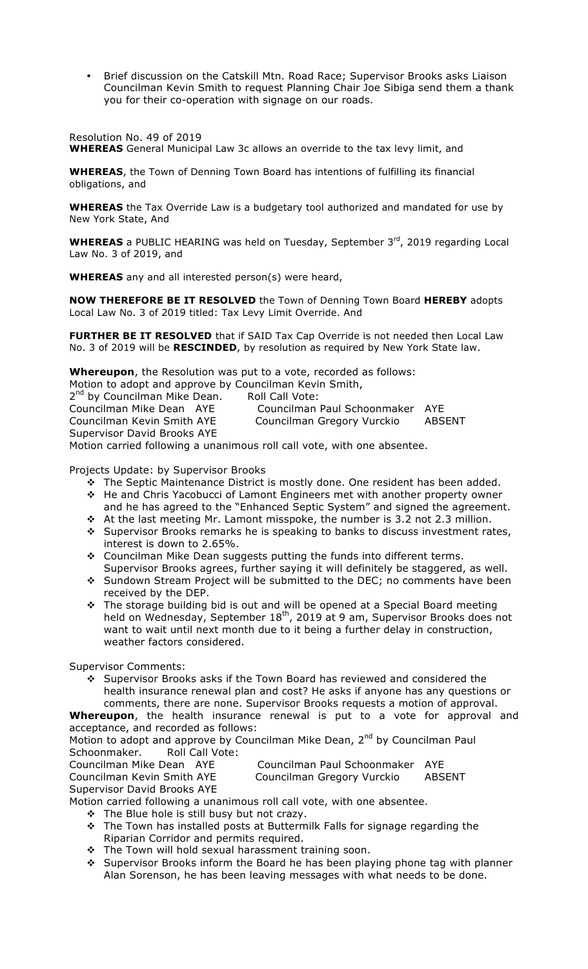• Brief discussion on the Catskill Mtn. Road Race; Supervisor Brooks asks Liaison Councilman Kevin Smith to request Planning Chair Joe Sibiga send them a thank you for their co-operation with signage on our roads.

Resolution No. 49 of 2019 **WHEREAS** General Municipal Law 3c allows an override to the tax levy limit, and

**WHEREAS**, the Town of Denning Town Board has intentions of fulfilling its financial obligations, and

**WHEREAS** the Tax Override Law is a budgetary tool authorized and mandated for use by New York State, And

**WHEREAS** a PUBLIC HEARING was held on Tuesday, September 3<sup>rd</sup>, 2019 regarding Local Law No. 3 of 2019, and

**WHEREAS** any and all interested person(s) were heard,

**NOW THEREFORE BE IT RESOLVED** the Town of Denning Town Board **HEREBY** adopts Local Law No. 3 of 2019 titled: Tax Levy Limit Override. And

**FURTHER BE IT RESOLVED** that if SAID Tax Cap Override is not needed then Local Law No. 3 of 2019 will be **RESCINDED**, by resolution as required by New York State law.

**Whereupon**, the Resolution was put to a vote, recorded as follows:

Motion to adopt and approve by Councilman Kevin Smith,

2<sup>nd</sup> by Councilman Mike Dean. Roll Call Vote:<br>Councilman Mike Dean AYE Councilman

Supervisor David Brooks AYE

Councilman Mike Dean AYE Councilman Paul Schoonmaker AYE Councilman Gregory Vurckio ABSENT

Motion carried following a unanimous roll call vote, with one absentee.

Projects Update: by Supervisor Brooks

- \* The Septic Maintenance District is mostly done. One resident has been added.
- \* He and Chris Yacobucci of Lamont Engineers met with another property owner and he has agreed to the "Enhanced Septic System" and signed the agreement.
- $\cdot$  At the last meeting Mr. Lamont misspoke, the number is 3.2 not 2.3 million. \* Supervisor Brooks remarks he is speaking to banks to discuss investment rates, interest is down to 2.65%.
- \* Councilman Mike Dean suggests putting the funds into different terms. Supervisor Brooks agrees, further saying it will definitely be staggered, as well.
- \* Sundown Stream Project will be submitted to the DEC; no comments have been received by the DEP.
- \* The storage building bid is out and will be opened at a Special Board meeting held on Wednesday, September  $18<sup>th</sup>$ , 2019 at 9 am, Supervisor Brooks does not want to wait until next month due to it being a further delay in construction, weather factors considered.

Supervisor Comments:

 $\div$  Supervisor Brooks asks if the Town Board has reviewed and considered the health insurance renewal plan and cost? He asks if anyone has any questions or comments, there are none. Supervisor Brooks requests a motion of approval.

**Whereupon**, the health insurance renewal is put to a vote for approval and acceptance, and recorded as follows:

Motion to adopt and approve by Councilman Mike Dean, 2<sup>nd</sup> by Councilman Paul Schoonmaker. Roll Call Vote:

Councilman Mike Dean AYE Councilman Paul Schoonmaker AYE

Councilman Paul Schoonmaker AYE<br>Councilman Gregory Vurckio ABSENT

Supervisor David Brooks AYE

Motion carried following a unanimous roll call vote, with one absentee.

- $\div$  The Blue hole is still busy but not crazy.
- $\div$  The Town has installed posts at Buttermilk Falls for signage regarding the Riparian Corridor and permits required.
- \* The Town will hold sexual harassment training soon.
- ◆ Supervisor Brooks inform the Board he has been playing phone tag with planner Alan Sorenson, he has been leaving messages with what needs to be done.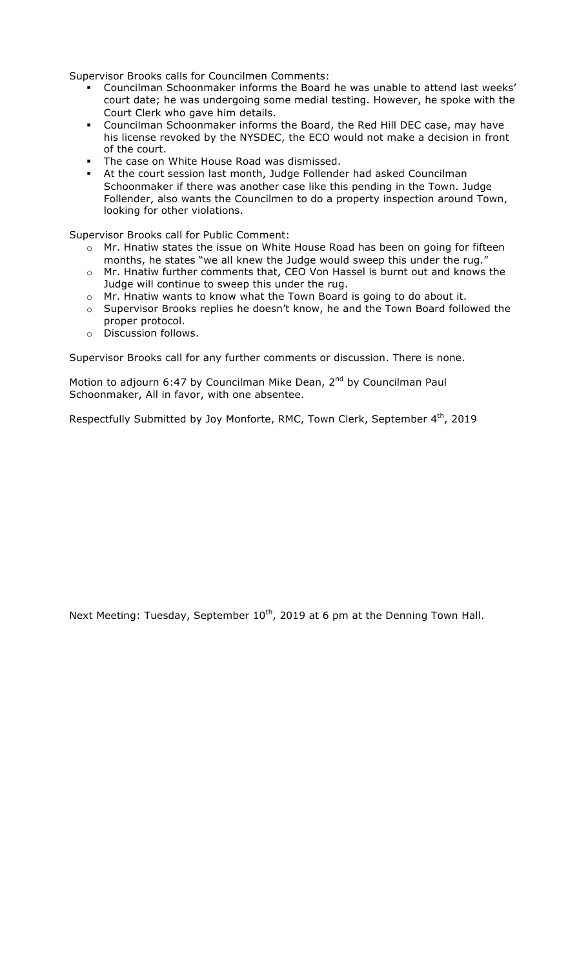Supervisor Brooks calls for Councilmen Comments:

- " Councilman Schoonmaker informs the Board he was unable to attend last weeks' court date; he was undergoing some medial testing. However, he spoke with the Court Clerk who gave him details.
- " Councilman Schoonmaker informs the Board, the Red Hill DEC case, may have his license revoked by the NYSDEC, the ECO would not make a decision in front of the court.
- The case on White House Road was dismissed.
- " At the court session last month, Judge Follender had asked Councilman Schoonmaker if there was another case like this pending in the Town. Judge Follender, also wants the Councilmen to do a property inspection around Town, looking for other violations.

Supervisor Brooks call for Public Comment:

- o Mr. Hnatiw states the issue on White House Road has been on going for fifteen months, he states "we all knew the Judge would sweep this under the rug."
- o Mr. Hnatiw further comments that, CEO Von Hassel is burnt out and knows the Judge will continue to sweep this under the rug.
- o Mr. Hnatiw wants to know what the Town Board is going to do about it.
- $\circ$  Supervisor Brooks replies he doesn't know, he and the Town Board followed the proper protocol.
- o Discussion follows.

Supervisor Brooks call for any further comments or discussion. There is none.

Motion to adjourn 6:47 by Councilman Mike Dean, 2<sup>nd</sup> by Councilman Paul Schoonmaker, All in favor, with one absentee.

Respectfully Submitted by Joy Monforte, RMC, Town Clerk, September 4<sup>th</sup>, 2019

Next Meeting: Tuesday, September 10<sup>th</sup>, 2019 at 6 pm at the Denning Town Hall.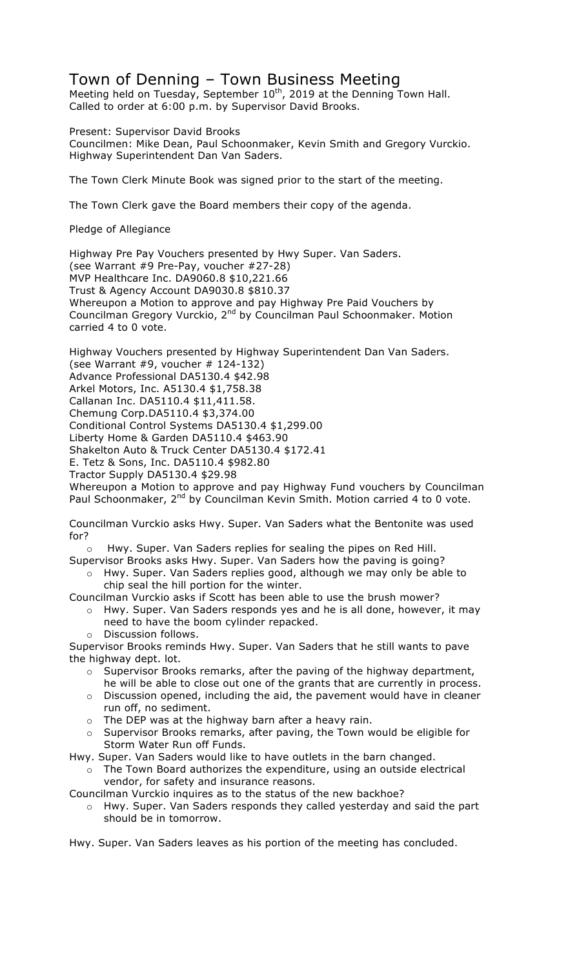## Town of Denning – Town Business Meeting

Meeting held on Tuesday, September  $10^{th}$ , 2019 at the Denning Town Hall. Called to order at 6:00 p.m. by Supervisor David Brooks.

Present: Supervisor David Brooks Councilmen: Mike Dean, Paul Schoonmaker, Kevin Smith and Gregory Vurckio. Highway Superintendent Dan Van Saders.

The Town Clerk Minute Book was signed prior to the start of the meeting.

The Town Clerk gave the Board members their copy of the agenda.

Pledge of Allegiance

Highway Pre Pay Vouchers presented by Hwy Super. Van Saders. (see Warrant #9 Pre-Pay, voucher #27-28) MVP Healthcare Inc. DA9060.8 \$10,221.66 Trust & Agency Account DA9030.8 \$810.37 Whereupon a Motion to approve and pay Highway Pre Paid Vouchers by Councilman Gregory Vurckio, 2nd by Councilman Paul Schoonmaker. Motion carried 4 to 0 vote.

Highway Vouchers presented by Highway Superintendent Dan Van Saders. (see Warrant  $#9$ , voucher  $# 124-132$ ) Advance Professional DA5130.4 \$42.98 Arkel Motors, Inc. A5130.4 \$1,758.38 Callanan Inc. DA5110.4 \$11,411.58. Chemung Corp.DA5110.4 \$3,374.00 Conditional Control Systems DA5130.4 \$1,299.00 Liberty Home & Garden DA5110.4 \$463.90 Shakelton Auto & Truck Center DA5130.4 \$172.41 E. Tetz & Sons, Inc. DA5110.4 \$982.80 Tractor Supply DA5130.4 \$29.98 Whereupon a Motion to approve and pay Highway Fund vouchers by Councilman Paul Schoonmaker, 2<sup>nd</sup> by Councilman Kevin Smith. Motion carried 4 to 0 vote.

Councilman Vurckio asks Hwy. Super. Van Saders what the Bentonite was used for?

Hwy. Super. Van Saders replies for sealing the pipes on Red Hill.

Supervisor Brooks asks Hwy. Super. Van Saders how the paving is going?

o Hwy. Super. Van Saders replies good, although we may only be able to chip seal the hill portion for the winter.

Councilman Vurckio asks if Scott has been able to use the brush mower?

- o Hwy. Super. Van Saders responds yes and he is all done, however, it may need to have the boom cylinder repacked.
- o Discussion follows.

Supervisor Brooks reminds Hwy. Super. Van Saders that he still wants to pave the highway dept. lot.

- $\circ$  Supervisor Brooks remarks, after the paving of the highway department, he will be able to close out one of the grants that are currently in process.
- $\circ$  Discussion opened, including the aid, the pavement would have in cleaner run off, no sediment.
- o The DEP was at the highway barn after a heavy rain.
- $\circ$  Supervisor Brooks remarks, after paving, the Town would be eligible for Storm Water Run off Funds.

Hwy. Super. Van Saders would like to have outlets in the barn changed.

 $\circ$  The Town Board authorizes the expenditure, using an outside electrical vendor, for safety and insurance reasons.

Councilman Vurckio inquires as to the status of the new backhoe?

o Hwy. Super. Van Saders responds they called yesterday and said the part should be in tomorrow.

Hwy. Super. Van Saders leaves as his portion of the meeting has concluded.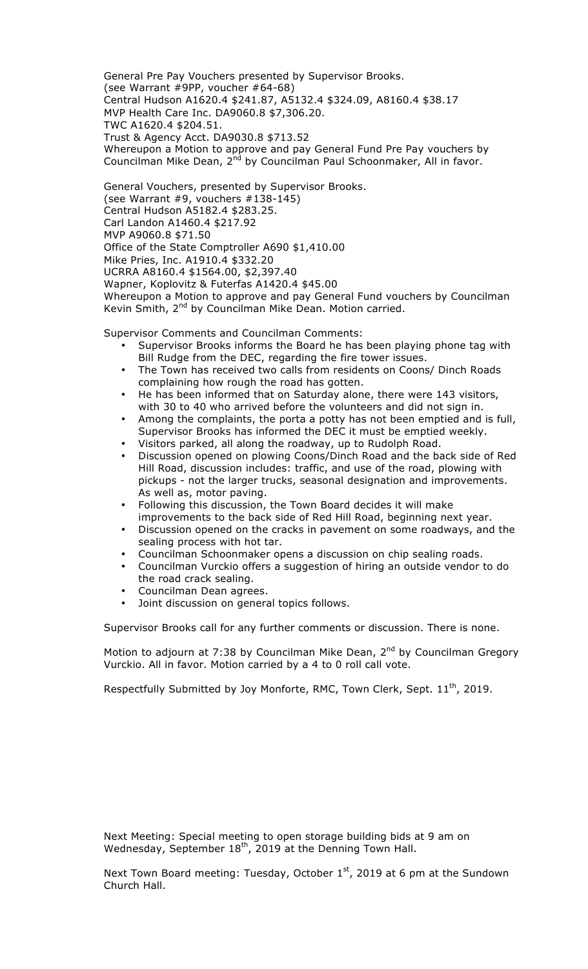General Pre Pay Vouchers presented by Supervisor Brooks. (see Warrant #9PP, voucher #64-68) Central Hudson A1620.4 \$241.87, A5132.4 \$324.09, A8160.4 \$38.17 MVP Health Care Inc. DA9060.8 \$7,306.20. TWC A1620.4 \$204.51. Trust & Agency Acct. DA9030.8 \$713.52 Whereupon a Motion to approve and pay General Fund Pre Pay vouchers by Councilman Mike Dean, 2<sup>nd</sup> by Councilman Paul Schoonmaker, All in favor.

General Vouchers, presented by Supervisor Brooks. (see Warrant  $#9$ , vouchers  $#138-145$ ) Central Hudson A5182.4 \$283.25. Carl Landon A1460.4 \$217.92 MVP A9060.8 \$71.50 Office of the State Comptroller A690 \$1,410.00 Mike Pries, Inc. A1910.4 \$332.20 UCRRA A8160.4 \$1564.00, \$2,397.40 Wapner, Koplovitz & Futerfas A1420.4 \$45.00 Whereupon a Motion to approve and pay General Fund vouchers by Councilman Kevin Smith,  $2^{nd}$  by Councilman Mike Dean. Motion carried.

Supervisor Comments and Councilman Comments:

- Supervisor Brooks informs the Board he has been playing phone tag with Bill Rudge from the DEC, regarding the fire tower issues.
- The Town has received two calls from residents on Coons/ Dinch Roads complaining how rough the road has gotten.
- He has been informed that on Saturday alone, there were 143 visitors, with 30 to 40 who arrived before the volunteers and did not sign in.
- Among the complaints, the porta a potty has not been emptied and is full, Supervisor Brooks has informed the DEC it must be emptied weekly.
- Visitors parked, all along the roadway, up to Rudolph Road.
- Discussion opened on plowing Coons/Dinch Road and the back side of Red Hill Road, discussion includes: traffic, and use of the road, plowing with pickups - not the larger trucks, seasonal designation and improvements. As well as, motor paving.
- Following this discussion, the Town Board decides it will make improvements to the back side of Red Hill Road, beginning next year.
- Discussion opened on the cracks in pavement on some roadways, and the sealing process with hot tar.
- Councilman Schoonmaker opens a discussion on chip sealing roads.
- Councilman Vurckio offers a suggestion of hiring an outside vendor to do the road crack sealing.
- Councilman Dean agrees.
- Joint discussion on general topics follows.

Supervisor Brooks call for any further comments or discussion. There is none.

Motion to adjourn at 7:38 by Councilman Mike Dean,  $2^{nd}$  by Councilman Gregory Vurckio. All in favor. Motion carried by a 4 to 0 roll call vote.

Respectfully Submitted by Joy Monforte, RMC, Town Clerk, Sept.  $11<sup>th</sup>$ , 2019.

Next Meeting: Special meeting to open storage building bids at 9 am on Wednesday, September 18<sup>th</sup>, 2019 at the Denning Town Hall.

Next Town Board meeting: Tuesday, October  $1<sup>st</sup>$ , 2019 at 6 pm at the Sundown Church Hall.